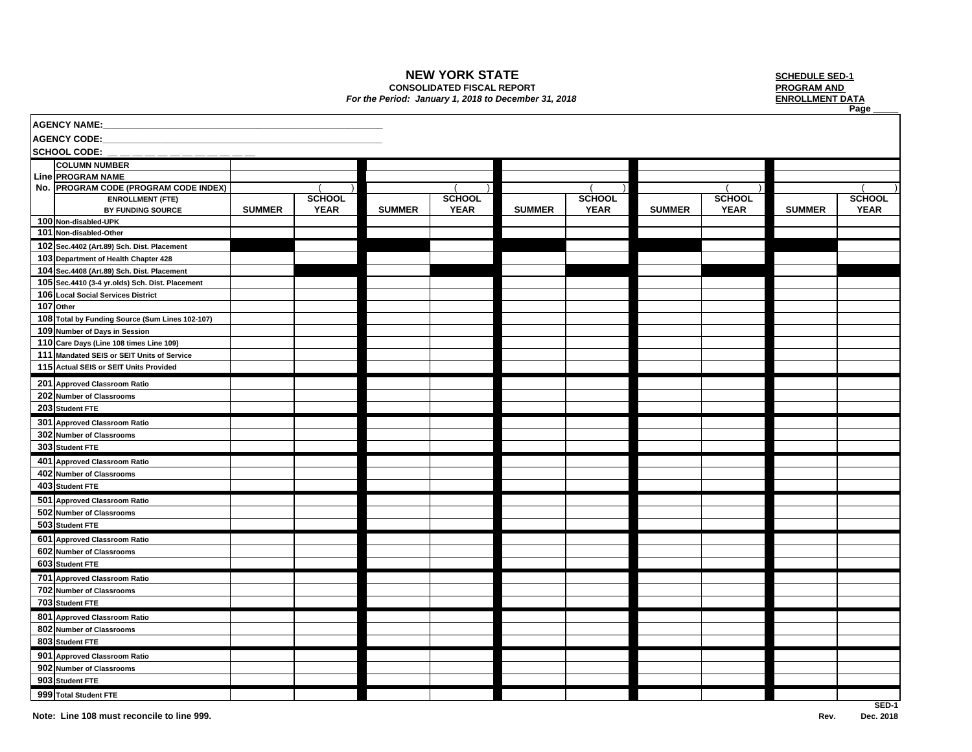## **NEW YORK STATE**

**CONSOLIDATED FISCAL REPORT**

## *For the Period: January 1, 2018 to December 31, 2018* **ENROLLMENT DATA**

 **SCHEDULE SED-1 PROGRAM AND Page \_\_\_\_\_**

| AGENCY NAME:        |                                                   |               |               |               |               |               |               |               |               |               |               |
|---------------------|---------------------------------------------------|---------------|---------------|---------------|---------------|---------------|---------------|---------------|---------------|---------------|---------------|
| <b>AGENCY CODE:</b> |                                                   |               |               |               |               |               |               |               |               |               |               |
|                     | <b>SCHOOL CODE:</b>                               |               |               |               |               |               |               |               |               |               |               |
|                     | <b>COLUMN NUMBER</b>                              |               |               |               |               |               |               |               |               |               |               |
|                     | Line PROGRAM NAME                                 |               |               |               |               |               |               |               |               |               |               |
|                     | No. PROGRAM CODE (PROGRAM CODE INDEX)             |               |               |               |               |               |               |               |               |               |               |
|                     | <b>ENROLLMENT (FTE)</b>                           |               | <b>SCHOOL</b> |               | <b>SCHOOL</b> |               | <b>SCHOOL</b> |               | <b>SCHOOL</b> |               | <b>SCHOOL</b> |
|                     | BY FUNDING SOURCE                                 | <b>SUMMER</b> | <b>YEAR</b>   | <b>SUMMER</b> | <b>YEAR</b>   | <b>SUMMER</b> | <b>YEAR</b>   | <b>SUMMER</b> | <b>YEAR</b>   | <b>SUMMER</b> | <b>YEAR</b>   |
|                     | 100 Non-disabled-UPK                              |               |               |               |               |               |               |               |               |               |               |
|                     | 101 Non-disabled-Other                            |               |               |               |               |               |               |               |               |               |               |
|                     | 102 Sec.4402 (Art.89) Sch. Dist. Placement        |               |               |               |               |               |               |               |               |               |               |
|                     | 103 Department of Health Chapter 428              |               |               |               |               |               |               |               |               |               |               |
|                     | 104 Sec. 4408 (Art. 89) Sch. Dist. Placement      |               |               |               |               |               |               |               |               |               |               |
|                     | 105 Sec. 4410 (3-4 yr. olds) Sch. Dist. Placement |               |               |               |               |               |               |               |               |               |               |
|                     | 106 Local Social Services District                |               |               |               |               |               |               |               |               |               |               |
|                     | 107 Other                                         |               |               |               |               |               |               |               |               |               |               |
|                     | 108 Total by Funding Source (Sum Lines 102-107)   |               |               |               |               |               |               |               |               |               |               |
|                     | 109 Number of Days in Session                     |               |               |               |               |               |               |               |               |               |               |
|                     | 110 Care Days (Line 108 times Line 109)           |               |               |               |               |               |               |               |               |               |               |
|                     | 111 Mandated SEIS or SEIT Units of Service        |               |               |               |               |               |               |               |               |               |               |
|                     | 115 Actual SEIS or SEIT Units Provided            |               |               |               |               |               |               |               |               |               |               |
|                     | 201 Approved Classroom Ratio                      |               |               |               |               |               |               |               |               |               |               |
|                     | 202 Number of Classrooms                          |               |               |               |               |               |               |               |               |               |               |
|                     | 203 Student FTE                                   |               |               |               |               |               |               |               |               |               |               |
|                     | 301 Approved Classroom Ratio                      |               |               |               |               |               |               |               |               |               |               |
|                     | 302 Number of Classrooms                          |               |               |               |               |               |               |               |               |               |               |
|                     | 303 Student FTE                                   |               |               |               |               |               |               |               |               |               |               |
|                     | 401 Approved Classroom Ratio                      |               |               |               |               |               |               |               |               |               |               |
|                     | 402 Number of Classrooms                          |               |               |               |               |               |               |               |               |               |               |
|                     | 403 Student FTE                                   |               |               |               |               |               |               |               |               |               |               |
|                     | 501 Approved Classroom Ratio                      |               |               |               |               |               |               |               |               |               |               |
|                     | 502 Number of Classrooms                          |               |               |               |               |               |               |               |               |               |               |
|                     | 503 Student FTE                                   |               |               |               |               |               |               |               |               |               |               |
|                     | 601 Approved Classroom Ratio                      |               |               |               |               |               |               |               |               |               |               |
|                     | 602 Number of Classrooms                          |               |               |               |               |               |               |               |               |               |               |
|                     | 603 Student FTE                                   |               |               |               |               |               |               |               |               |               |               |
|                     | 701 Approved Classroom Ratio                      |               |               |               |               |               |               |               |               |               |               |
|                     | 702 Number of Classrooms                          |               |               |               |               |               |               |               |               |               |               |
|                     | 703 Student FTE                                   |               |               |               |               |               |               |               |               |               |               |
|                     | 801 Approved Classroom Ratio                      |               |               |               |               |               |               |               |               |               |               |
|                     | 802 Number of Classrooms                          |               |               |               |               |               |               |               |               |               |               |
|                     | 803 Student FTE                                   |               |               |               |               |               |               |               |               |               |               |
|                     | 901 Approved Classroom Ratio                      |               |               |               |               |               |               |               |               |               |               |
|                     | 902 Number of Classrooms                          |               |               |               |               |               |               |               |               |               |               |
|                     | 903 Student FTE                                   |               |               |               |               |               |               |               |               |               |               |
|                     | 999 Total Student FTE                             |               |               |               |               |               |               |               |               |               |               |
|                     |                                                   |               |               |               |               |               |               |               |               |               |               |

**SED-1**